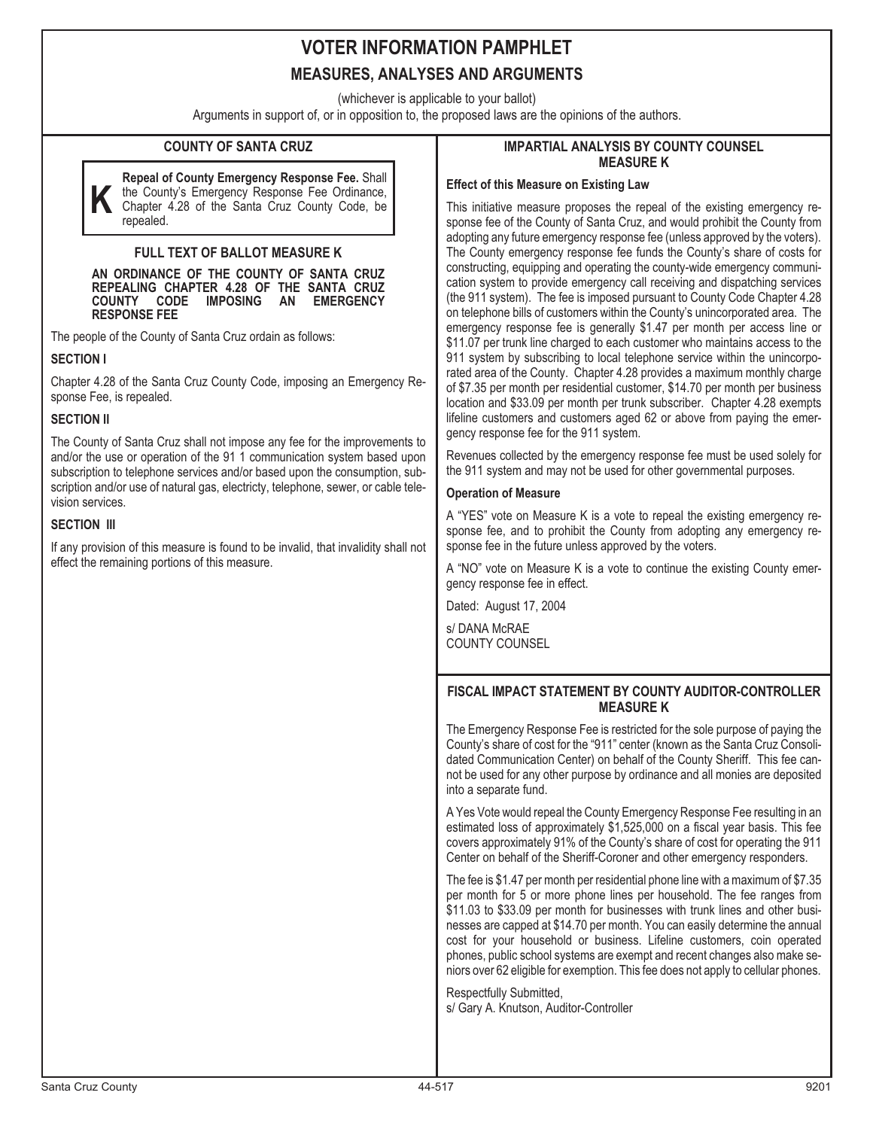## **VOTER INFORMATION PAMPHLET MEASURES, ANALYSES AND ARGUMENTS**

(whichever is applicable to your ballot)

Arguments in support of, or in opposition to, the proposed laws are the opinions of the authors.

## **COUNTY OF SANTA CRUZ**

**K Repeal of County Emergency Response Fee.** Shall the County's Emergency Response Fee Ordinance, Chapter 4.28 of the Santa Cruz County Code, be repealed.

## **FULL TEXT OF BALLOT MEASURE K**

**AN ORDINANCE OF THE COUNTY OF SANTA CRUZ REPEALING CHAPTER 4.28 OF THE SANTA CRUZ COUNTY CODE IMPOSING AN RESPONSE FEE**

The people of the County of Santa Cruz ordain as follows:

**SECTION I**

Chapter 4.28 of the Santa Cruz County Code, imposing an Emergency Response Fee, is repealed.

#### **SECTION II**

The County of Santa Cruz shall not impose any fee for the improvements to and/or the use or operation of the 91 1 communication system based upon subscription to telephone services and/or based upon the consumption, subscription and/or use of natural gas, electricty, telephone, sewer, or cable television services.

### **SECTION III**

If any provision of this measure is found to be invalid, that invalidity shall not effect the remaining portions of this measure.

#### **IMPARTIAL ANALYSIS BY COUNTY COUNSEL MEASURE K**

#### **Effect of this Measure on Existing Law**

This initiative measure proposes the repeal of the existing emergency response fee of the County of Santa Cruz, and would prohibit the County from adopting any future emergency response fee (unless approved by the voters). The County emergency response fee funds the County's share of costs for constructing, equipping and operating the county-wide emergency communication system to provide emergency call receiving and dispatching services (the 911 system). The fee is imposed pursuant to County Code Chapter 4.28 on telephone bills of customers within the County's unincorporated area. The emergency response fee is generally \$1.47 per month per access line or \$11.07 per trunk line charged to each customer who maintains access to the 911 system by subscribing to local telephone service within the unincorporated area of the County. Chapter 4.28 provides a maximum monthly charge of \$7.35 per month per residential customer, \$14.70 per month per business location and \$33.09 per month per trunk subscriber. Chapter 4.28 exempts lifeline customers and customers aged 62 or above from paying the emergency response fee for the 911 system.

Revenues collected by the emergency response fee must be used solely for the 911 system and may not be used for other governmental purposes.

## **Operation of Measure**

A "YES" vote on Measure K is a vote to repeal the existing emergency response fee, and to prohibit the County from adopting any emergency response fee in the future unless approved by the voters.

A "NO" vote on Measure K is a vote to continue the existing County emergency response fee in effect.

Dated: August 17, 2004

s/ DANA McRAE COUNTY COUNSEL

## **FISCAL IMPACT STATEMENT BY COUNTY AUDITOR-CONTROLLER MEASURE K**

The Emergency Response Fee is restricted for the sole purpose of paying the County's share of cost for the "911" center (known as the Santa Cruz Consolidated Communication Center) on behalf of the County Sheriff. This fee cannot be used for any other purpose by ordinance and all monies are deposited into a separate fund.

A Yes Vote would repeal the County Emergency Response Fee resulting in an estimated loss of approximately \$1,525,000 on a fiscal year basis. This fee covers approximately 91% of the County's share of cost for operating the 911 Center on behalf of the Sheriff-Coroner and other emergency responders.

The fee is \$1.47 per month per residential phone line with a maximum of \$7.35 per month for 5 or more phone lines per household. The fee ranges from \$11.03 to \$33.09 per month for businesses with trunk lines and other businesses are capped at \$14.70 per month. You can easily determine the annual cost for your household or business. Lifeline customers, coin operated phones, public school systems are exempt and recent changes also make seniors over 62 eligible for exemption. This fee does not apply to cellular phones.

Respectfully Submitted, s/ Gary A. Knutson, Auditor-Controller